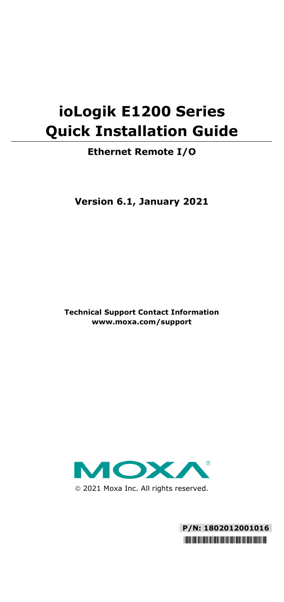# **ioLogik E1200 Series Quick Installation Guide**

# **Ethernet Remote I/O**

**Version 6.1, January 2021**

**Technical Support Contact Information www.moxa.com/support**



2021 Moxa Inc. All rights reserved.

**P/N: 1802012001016** \*1802012001016\*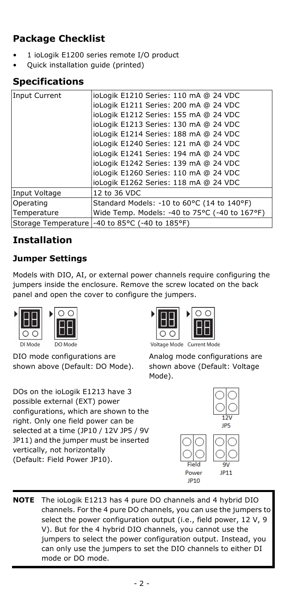# **Package Checklist**

- 1 ioLogik E1200 series remote I/O product
- Quick installation guide (printed)

# **Specifications**

| <b>Input Current</b> | ioLogik E1210 Series: 110 mA @ 24 VDC         |  |  |
|----------------------|-----------------------------------------------|--|--|
|                      | ioLogik E1211 Series: 200 mA @ 24 VDC         |  |  |
|                      | ioLogik E1212 Series: 155 mA @ 24 VDC         |  |  |
|                      | ioLogik E1213 Series: 130 mA @ 24 VDC         |  |  |
|                      | ioLogik E1214 Series: 188 mA @ 24 VDC         |  |  |
|                      | ioLogik E1240 Series: 121 mA @ 24 VDC         |  |  |
|                      | ioLogik E1241 Series: 194 mA @ 24 VDC         |  |  |
|                      | ioLogik E1242 Series: 139 mA @ 24 VDC         |  |  |
|                      | ioLogik E1260 Series: 110 mA @ 24 VDC         |  |  |
|                      | ioLogik E1262 Series: 118 mA @ 24 VDC         |  |  |
| Input Voltage        | 12 to 36 VDC                                  |  |  |
| Operating            | Standard Models: -10 to 60°C (14 to 140°F)    |  |  |
| Temperature          | Wide Temp. Models: -40 to 75°C (-40 to 167°F) |  |  |
| Storage Temperature  | -40 to 85°C (-40 to 185°F)                    |  |  |

# **Installation**

# **Jumper Settings**

Models with DIO, AI, or external power channels require configuring the jumpers inside the enclosure. Remove the screw located on the back panel and open the cover to configure the jumpers.



DIO mode configurations are shown above (Default: DO Mode).

DOs on the ioLogik E1213 have 3 possible external (EXT) power configurations, which are shown to the right. Only one field power can be selected at a time (JP10 / 12V JP5 / 9V JP11) and the jumper must be inserted vertically, not horizontally (Default: Field Power JP10).



Voltage Mode Current Mode

Analog mode configurations are shown above (Default: Voltage Mode).



**NOTE** The ioLogik E1213 has 4 pure DO channels and 4 hybrid DIO channels. For the 4 pure DO channels, you can use the jumpers to select the power configuration output (i.e., field power, 12 V, 9 V). But for the 4 hybrid DIO channels, you cannot use the jumpers to select the power configuration output. Instead, you can only use the jumpers to set the DIO channels to either DI mode or DO mode.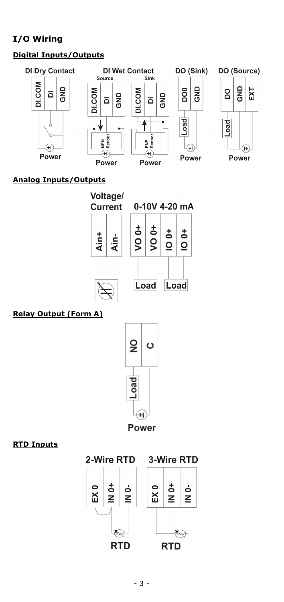# **I/O Wiring**

### **Digital Inputs/Outputs**



#### **Analog Inputs/Outputs**





#### **Relay Output (Form A)**



#### **RTD Inputs**

#### 2-Wire RTD

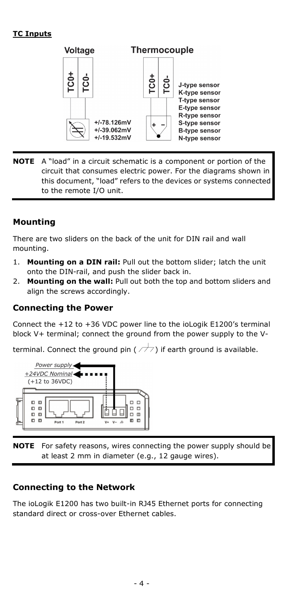#### **TC Inputs**



**NOTE** A "load" in a circuit schematic is a component or portion of the circuit that consumes electric power. For the diagrams shown in this document, "load" refers to the devices or systems connected to the remote I/O unit.

### **Mounting**

There are two sliders on the back of the unit for DIN rail and wall mounting.

- 1. **Mounting on a DIN rail:** Pull out the bottom slider; latch the unit onto the DIN-rail, and push the slider back in.
- 2. **Mounting on the wall:** Pull out both the top and bottom sliders and align the screws accordingly.

#### **Connecting the Power**

Connect the +12 to +36 VDC power line to the ioLogik E1200's terminal block V+ terminal; connect the ground from the power supply to the V-

terminal. Connect the ground pin ( $\rightarrow$ ) if earth ground is available.



**NOTE** For safety reasons, wires connecting the power supply should be at least 2 mm in diameter (e.g., 12 gauge wires).

#### **Connecting to the Network**

The ioLogik E1200 has two built-in RJ45 Ethernet ports for connecting standard direct or cross-over Ethernet cables.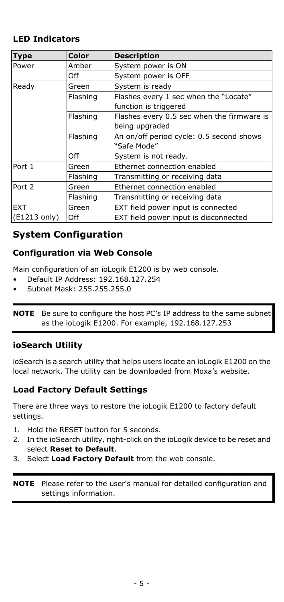# **LED Indicators**

| <b>Type</b>  | Color    | <b>Description</b>                                             |  |
|--------------|----------|----------------------------------------------------------------|--|
| Power        | Amber    | System power is ON                                             |  |
|              | Off      | System power is OFF                                            |  |
| Ready        | Green    | System is ready                                                |  |
|              | Flashing | Flashes every 1 sec when the "Locate"<br>function is triggered |  |
|              | Flashing | Flashes every 0.5 sec when the firmware is<br>being upgraded   |  |
|              | Flashing | An on/off period cycle: 0.5 second shows<br>"Safe Mode"        |  |
|              | Off      | System is not ready.                                           |  |
| Port 1       | Green    | Ethernet connection enabled                                    |  |
|              | Flashing | Transmitting or receiving data                                 |  |
| Port 2       | Green    | Ethernet connection enabled                                    |  |
|              | Flashing | Transmitting or receiving data                                 |  |
| <b>EXT</b>   | Green    | EXT field power input is connected                             |  |
| (E1213 only) | Off      | EXT field power input is disconnected                          |  |

# **System Configuration**

# **Configuration via Web Console**

Main configuration of an ioLogik E1200 is by web console.

- Default IP Address: 192.168.127.254
- Subnet Mask: 255.255.255.0

**NOTE** Be sure to configure the host PC's IP address to the same subnet as the ioLogik E1200. For example, 192.168.127.253

### **ioSearch Utility**

ioSearch is a search utility that helps users locate an ioLogik E1200 on the local network. The utility can be downloaded from Moxa's website.

### **Load Factory Default Settings**

There are three ways to restore the ioLogik E1200 to factory default settings.

- 1. Hold the RESET button for 5 seconds.
- 2. In the ioSearch utility, right-click on the ioLogik device to be reset and select **Reset to Default**.
- 3. Select **Load Factory Default** from the web console.

**NOTE** Please refer to the user's manual for detailed configuration and settings information.